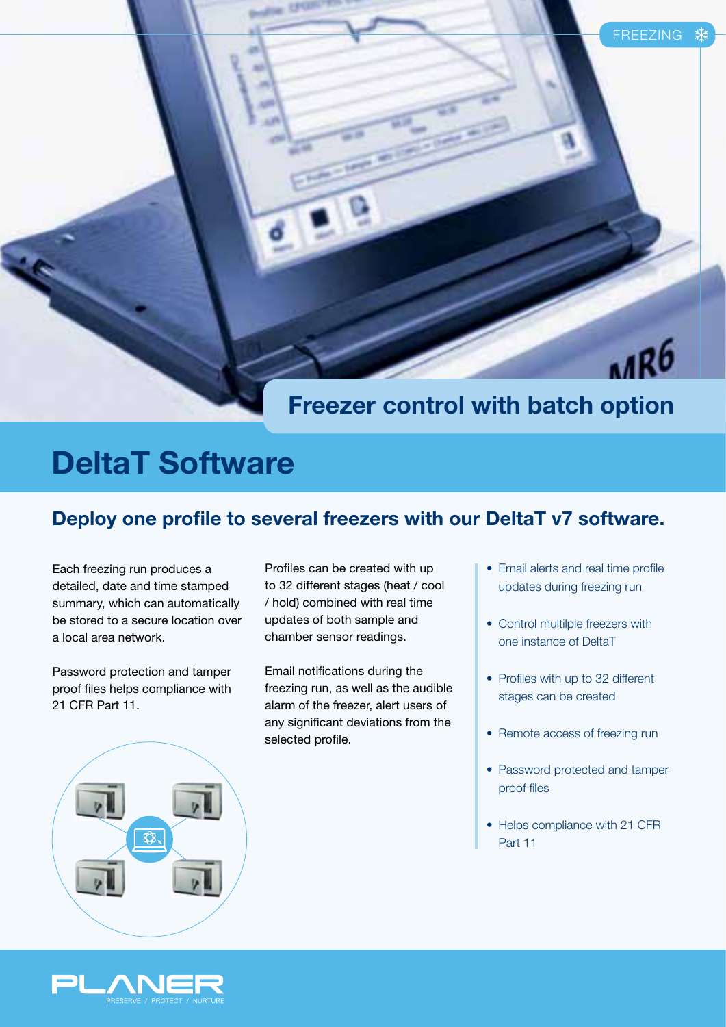# IR<sub>6</sub>

### **Freezer control with batch option**

# **DeltaT Software**

#### **Deploy one profile to several freezers with our DeltaT v7 software.**

Each freezing run produces a detailed, date and time stamped summary, which can automatically be stored to a secure location over a local area network.

Password protection and tamper proof files helps compliance with 21 CFR Part 11.

Profiles can be created with up to 32 different stages (heat / cool / hold) combined with real time updates of both sample and chamber sensor readings.

Email notifications during the freezing run, as well as the audible alarm of the freezer, alert users of any significant deviations from the selected profile.

- Email alerts and real time profile updates during freezing run
- Control multilple freezers with one instance of DeltaT
- Profiles with up to 32 different stages can be created
- Remote access of freezing run
- Password protected and tamper proof files
- Helps compliance with 21 CFR Part 11